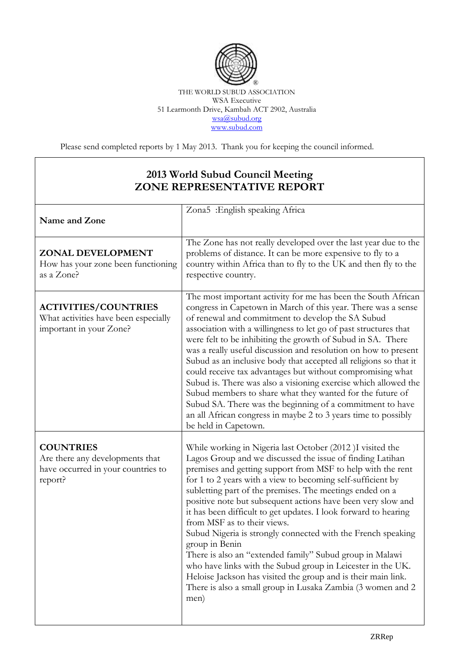

THE WORLD SUBUD ASSOCIATION WSA Executive 51 Learmonth Drive, Kambah ACT 2902, Australia [wsa@subud.org](mailto:wsa@subud.org) [www.subud.com](http://www.subud.com/)

Please send completed reports by 1 May 2013. Thank you for keeping the council informed.

## **2013 World Subud Council Meeting ZONE REPRESENTATIVE REPORT**

| Name and Zone                                                                                        | Zona5 : English speaking Africa                                                                                                                                                                                                                                                                                                                                                                                                                                                                                                                                                                                                                                                                                                                                                                                                          |
|------------------------------------------------------------------------------------------------------|------------------------------------------------------------------------------------------------------------------------------------------------------------------------------------------------------------------------------------------------------------------------------------------------------------------------------------------------------------------------------------------------------------------------------------------------------------------------------------------------------------------------------------------------------------------------------------------------------------------------------------------------------------------------------------------------------------------------------------------------------------------------------------------------------------------------------------------|
| ZONAL DEVELOPMENT<br>How has your zone been functioning<br>as a Zone?                                | The Zone has not really developed over the last year due to the<br>problems of distance. It can be more expensive to fly to a<br>country within Africa than to fly to the UK and then fly to the<br>respective country.                                                                                                                                                                                                                                                                                                                                                                                                                                                                                                                                                                                                                  |
| <b>ACTIVITIES/COUNTRIES</b><br>What activities have been especially<br>important in your Zone?       | The most important activity for me has been the South African<br>congress in Capetown in March of this year. There was a sense<br>of renewal and commitment to develop the SA Subud<br>association with a willingness to let go of past structures that<br>were felt to be inhibiting the growth of Subud in SA. There<br>was a really useful discussion and resolution on how to present<br>Subud as an inclusive body that accepted all religions so that it<br>could receive tax advantages but without compromising what<br>Subud is. There was also a visioning exercise which allowed the<br>Subud members to share what they wanted for the future of<br>Subud SA. There was the beginning of a commitment to have<br>an all African congress in maybe 2 to 3 years time to possibly<br>be held in Capetown.                      |
| <b>COUNTRIES</b><br>Are there any developments that<br>have occurred in your countries to<br>report? | While working in Nigeria last October (2012 )I visited the<br>Lagos Group and we discussed the issue of finding Latihan<br>premises and getting support from MSF to help with the rent<br>for 1 to 2 years with a view to becoming self-sufficient by<br>subletting part of the premises. The meetings ended on a<br>positive note but subsequent actions have been very slow and<br>it has been difficult to get updates. I look forward to hearing<br>from MSF as to their views.<br>Subud Nigeria is strongly connected with the French speaking<br>group in Benin<br>There is also an "extended family" Subud group in Malawi<br>who have links with the Subud group in Leicester in the UK.<br>Heloise Jackson has visited the group and is their main link.<br>There is also a small group in Lusaka Zambia (3 women and 2<br>men) |